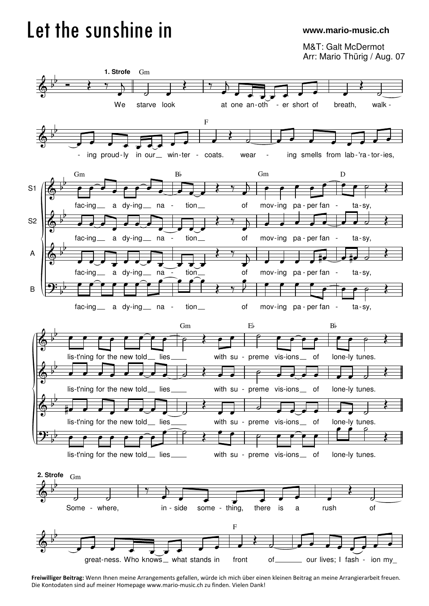## Let the sunshine in

## **www.mario-music.ch**

M&T: Galt McDermot Arr: Mario Thürig / Aug. 07



**Freiwilliger Beitrag:** Wenn Ihnen meine Arrangements gefallen, würde ich mich über einen kleinen Beitrag an meine Arrangierarbeit freuen. Die Kontodaten sind auf meiner Homepage www.mario-music.ch zu finden. Vielen Dank!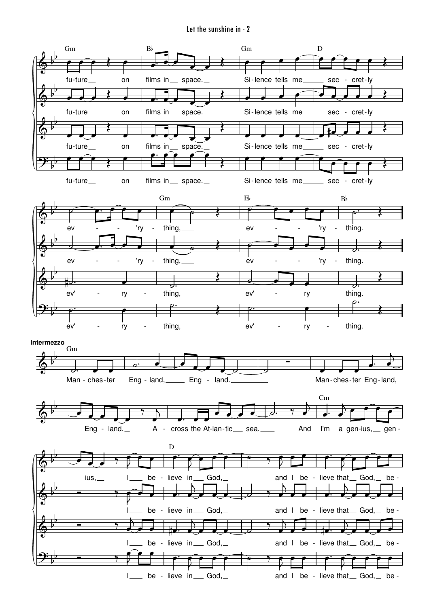## Let the sunshine in - 2

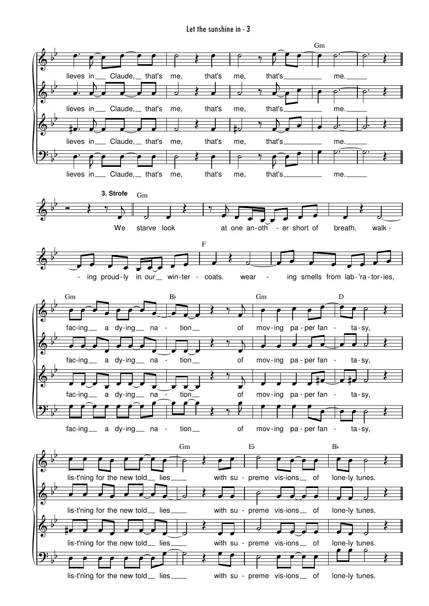Let the sunshine in - 3